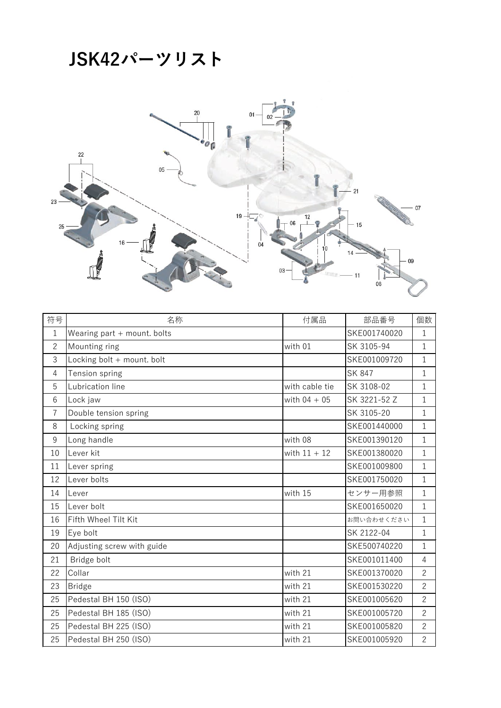## **JSK42パーツリスト**



| 符号             | 名称                            | 付属品            | 部品番号          | 個数             |
|----------------|-------------------------------|----------------|---------------|----------------|
| $\mathbf{1}$   | Wearing part $+$ mount. bolts |                | SKE001740020  | $\mathbf{1}$   |
| $\overline{2}$ | Mounting ring                 | with 01        | SK 3105-94    | $\mathbf{1}$   |
| 3              | Locking bolt + mount. bolt    |                | SKE001009720  | $\mathbf{1}$   |
| 4              | Tension spring                |                | <b>SK 847</b> | 1              |
| 5              | Lubrication line              | with cable tie | SK 3108-02    | $\mathbf{1}$   |
| 6              | Lock jaw                      | with $04 + 05$ | SK 3221-52 Z  | $\mathbf{1}$   |
| $\overline{7}$ | Double tension spring         |                | SK 3105-20    | $\mathbf{1}$   |
| 8              | Locking spring                |                | SKE001440000  | 1              |
| 9              | Long handle                   | with 08        | SKE001390120  | $\mathbf 1$    |
| 10             | Lever kit                     | with $11 + 12$ | SKE001380020  | $\mathbf{1}$   |
| 11             | Lever spring                  |                | SKE001009800  | $\mathbf 1$    |
| 12             | Lever bolts                   |                | SKE001750020  | $\mathbf{1}$   |
| 14             | Lever                         | with 15        | センサー用参照       | $\mathbf{1}$   |
| 15             | Lever bolt                    |                | SKE001650020  | $\mathbf{1}$   |
| 16             | Fifth Wheel Tilt Kit          |                | お問い合わせください    | $\mathbf{1}$   |
| 19             | Eye bolt                      |                | SK 2122-04    | $\mathbf{1}$   |
| 20             | Adjusting screw with guide    |                | SKE500740220  | $\mathbf{1}$   |
| 21             | Bridge bolt                   |                | SKE001011400  | 4              |
| 22             | Collar                        | with 21        | SKE001370020  | $\overline{2}$ |
| 23             | <b>Bridge</b>                 | with 21        | SKE001530220  | $\overline{2}$ |
| 25             | Pedestal BH 150 (ISO)         | with 21        | SKE001005620  | $\overline{2}$ |
| 25             | Pedestal BH 185 (ISO)         | with 21        | SKE001005720  | $\overline{2}$ |
| 25             | Pedestal BH 225 (ISO)         | with 21        | SKE001005820  | $\overline{2}$ |
| 25             | Pedestal BH 250 (ISO)         | with 21        | SKE001005920  | $\overline{2}$ |